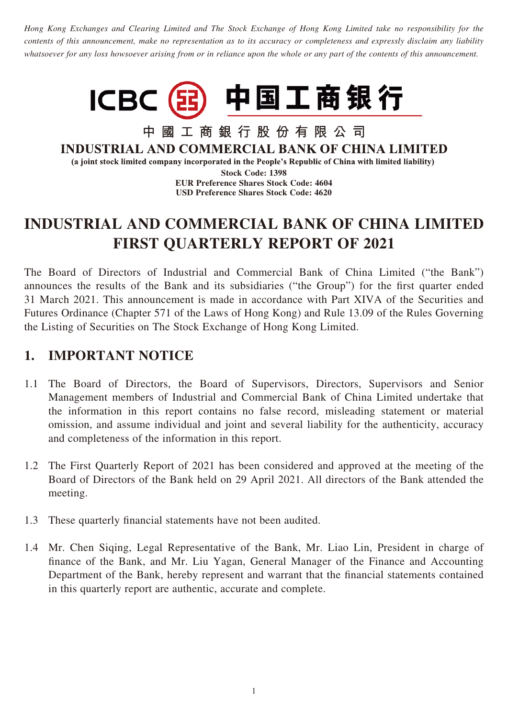*Hong Kong Exchanges and Clearing Limited and The Stock Exchange of Hong Kong Limited take no responsibility for the contents of this announcement, make no representation as to its accuracy or completeness and expressly disclaim any liability whatsoever for any loss howsoever arising from or in reliance upon the whole or any part of the contents of this announcement.*



中國工商銀行股份有限公司 **INDUSTRIAL AND COMMERCIAL BANK OF CHINA LIMITED** (a joint stock limited company incorporated in the People's Republic of China with limited liability)

> **Stock Code: 1398 EUR Preference Shares Stock Code: 4604 USD Preference Shares Stock Code: 4620**

# **INDUSTRIAL AND COMMERCIAL BANK OF CHINA LIMITED FIRST QUARTERLY REPORT OF 2021**

The Board of Directors of Industrial and Commercial Bank of China Limited ("the Bank") announces the results of the Bank and its subsidiaries ("the Group") for the first quarter ended 31 March 2021. This announcement is made in accordance with Part XIVA of the Securities and Futures Ordinance (Chapter 571 of the Laws of Hong Kong) and Rule 13.09 of the Rules Governing the Listing of Securities on The Stock Exchange of Hong Kong Limited.

## **1. IMPORTANT NOTICE**

- 1.1 The Board of Directors, the Board of Supervisors, Directors, Supervisors and Senior Management members of Industrial and Commercial Bank of China Limited undertake that the information in this report contains no false record, misleading statement or material omission, and assume individual and joint and several liability for the authenticity, accuracy and completeness of the information in this report.
- 1.2 The First Quarterly Report of 2021 has been considered and approved at the meeting of the Board of Directors of the Bank held on 29 April 2021. All directors of the Bank attended the meeting.
- 1.3 These quarterly financial statements have not been audited.
- 1.4 Mr. Chen Siqing, Legal Representative of the Bank, Mr. Liao Lin, President in charge of finance of the Bank, and Mr. Liu Yagan, General Manager of the Finance and Accounting Department of the Bank, hereby represent and warrant that the financial statements contained in this quarterly report are authentic, accurate and complete.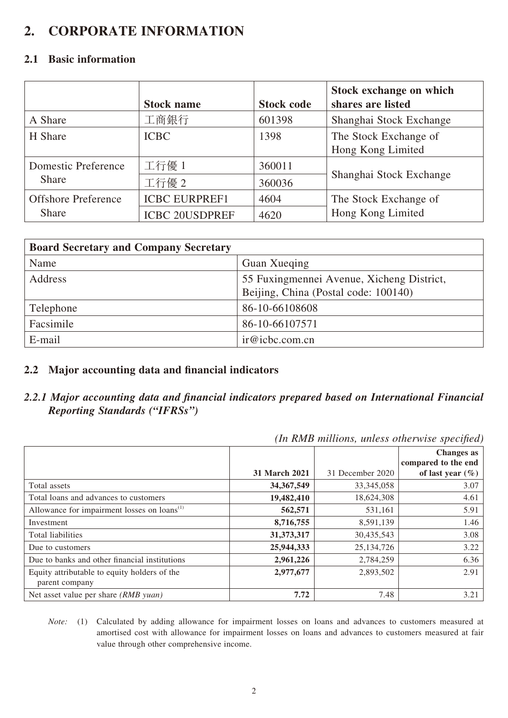## **2. CORPORATE INFORMATION**

#### **2.1 Basic information**

|                            | <b>Stock name</b>     | <b>Stock code</b> | Stock exchange on which<br>shares are listed |
|----------------------------|-----------------------|-------------------|----------------------------------------------|
| A Share                    | 工商銀行                  | 601398            | Shanghai Stock Exchange                      |
| H Share                    | <b>ICBC</b>           | 1398              | The Stock Exchange of<br>Hong Kong Limited   |
| <b>Domestic Preference</b> | 工行優 1                 | 360011            |                                              |
| <b>Share</b>               | 工行優 2                 | 360036            | Shanghai Stock Exchange                      |
| <b>Offshore Preference</b> | <b>ICBC EURPREF1</b>  | 4604              | The Stock Exchange of                        |
| <b>Share</b>               | <b>ICBC 20USDPREF</b> | 4620              | Hong Kong Limited                            |

| <b>Board Secretary and Company Secretary</b> |                                           |
|----------------------------------------------|-------------------------------------------|
| Name                                         | Guan Xueqing                              |
| Address                                      | 55 Fuxingmennei Avenue, Xicheng District, |
|                                              | Beijing, China (Postal code: 100140)      |
| Telephone                                    | 86-10-66108608                            |
| Facsimile                                    | 86-10-66107571                            |
| E-mail                                       | ir@icbc.com.cn                            |

#### **2.2 Major accounting data and financial indicators**

#### *2.2.1 Major accounting data and financial indicators prepared based on International Financial Reporting Standards ("IFRSs")*

| In Kind multions, unless otherwise specifica)           |                      |                  |                                          |  |  |  |  |
|---------------------------------------------------------|----------------------|------------------|------------------------------------------|--|--|--|--|
|                                                         |                      |                  | <b>Changes</b> as<br>compared to the end |  |  |  |  |
|                                                         | <b>31 March 2021</b> | 31 December 2020 | of last year $(\% )$                     |  |  |  |  |
| Total assets                                            | 34, 367, 549         | 33, 345, 058     | 3.07                                     |  |  |  |  |
| Total loans and advances to customers                   | 19,482,410           | 18,624,308       | 4.61                                     |  |  |  |  |
| Allowance for impairment losses on loans <sup>(1)</sup> | 562,571              | 531,161          | 5.91                                     |  |  |  |  |
| Investment                                              | 8,716,755            | 8,591,139        | 1.46                                     |  |  |  |  |
| Total liabilities                                       | 31,373,317           | 30,435,543       | 3.08                                     |  |  |  |  |
| Due to customers                                        | 25,944,333           | 25, 134, 726     | 3.22                                     |  |  |  |  |
| Due to banks and other financial institutions           | 2,961,226            | 2,784,259        | 6.36                                     |  |  |  |  |
| Equity attributable to equity holders of the            | 2,977,677            | 2,893,502        | 2.91                                     |  |  |  |  |
| parent company                                          |                      |                  |                                          |  |  |  |  |
| Net asset value per share (RMB yuan)                    | 7.72                 | 7.48             | 3.21                                     |  |  |  |  |

*(In RMB millions, unless otherwise specified)*

*Note:* (1) Calculated by adding allowance for impairment losses on loans and advances to customers measured at amortised cost with allowance for impairment losses on loans and advances to customers measured at fair value through other comprehensive income.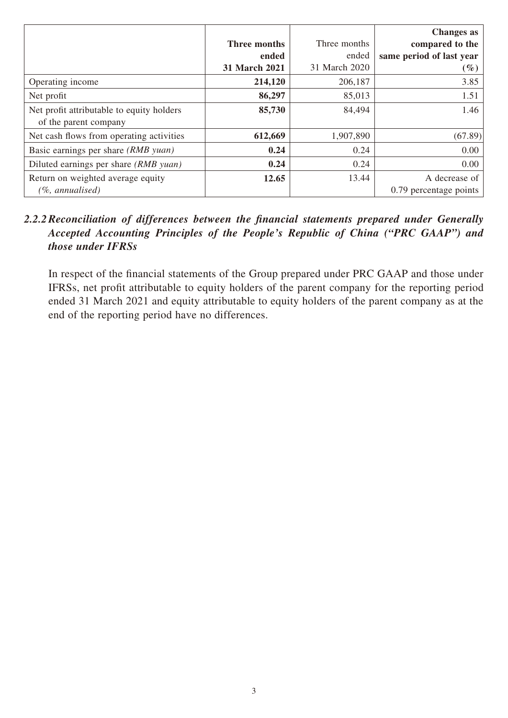|                                                                    |               |               | <b>Changes</b> as        |
|--------------------------------------------------------------------|---------------|---------------|--------------------------|
|                                                                    | Three months  | Three months  | compared to the          |
|                                                                    | ended         | ended         | same period of last year |
|                                                                    | 31 March 2021 | 31 March 2020 | $(\%)$                   |
| Operating income                                                   | 214,120       | 206,187       | 3.85                     |
| Net profit                                                         | 86,297        | 85,013        | 1.51                     |
| Net profit attributable to equity holders<br>of the parent company | 85,730        | 84,494        | 1.46                     |
| Net cash flows from operating activities                           | 612,669       | 1,907,890     | (67.89)                  |
| Basic earnings per share (RMB yuan)                                | 0.24          | 0.24          | 0.00                     |
| Diluted earnings per share (RMB yuan)                              | 0.24          | 0.24          | 0.00                     |
| Return on weighted average equity                                  | 12.65         | 13.44         | A decrease of            |
| (%, annualised)                                                    |               |               | 0.79 percentage points   |

#### *2.2.2Reconciliation of differences between the financial statements prepared under Generally Accepted Accounting Principles of the People's Republic of China ("PRC GAAP") and those under IFRSs*

In respect of the financial statements of the Group prepared under PRC GAAP and those under IFRSs, net profit attributable to equity holders of the parent company for the reporting period ended 31 March 2021 and equity attributable to equity holders of the parent company as at the end of the reporting period have no differences.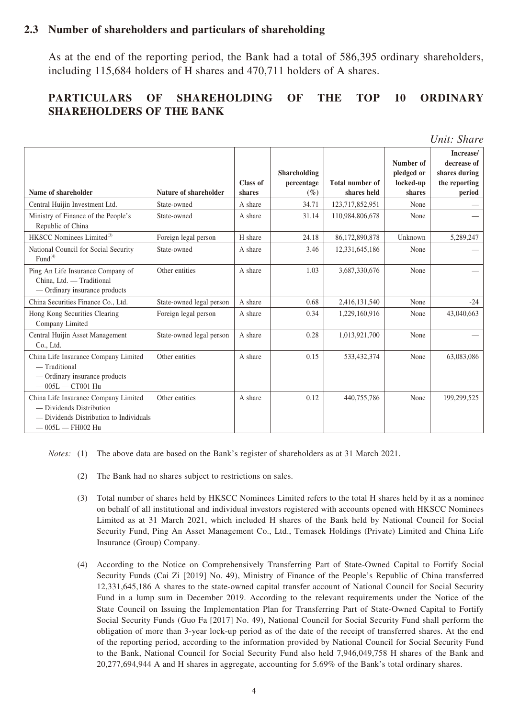#### **2.3 Number of shareholders and particulars of shareholding**

As at the end of the reporting period, the Bank had a total of 586,395 ordinary shareholders, including 115,684 holders of H shares and 470,711 holders of A shares.

#### **PARTICULARS OF SHAREHOLDING OF THE TOP 10 ORDINARY SHAREHOLDERS OF THE BANK**

| Name of shareholder                                                                                                               | Nature of shareholder    | <b>Class of</b><br>shares | Shareholding<br>percentage<br>$($ %) | <b>Total number of</b><br>shares held | Number of<br>pledged or<br>locked-up<br>shares | Increase/<br>decrease of<br>shares during<br>the reporting<br>period |
|-----------------------------------------------------------------------------------------------------------------------------------|--------------------------|---------------------------|--------------------------------------|---------------------------------------|------------------------------------------------|----------------------------------------------------------------------|
| Central Huijin Investment Ltd.                                                                                                    | State-owned              | A share                   | 34.71                                | 123,717,852,951                       | None                                           |                                                                      |
| Ministry of Finance of the People's<br>Republic of China                                                                          | State-owned              | A share                   | 31.14                                | 110,984,806,678                       | None                                           |                                                                      |
| HKSCC Nominees Limited <sup>(3)</sup>                                                                                             | Foreign legal person     | H share                   | 24.18                                | 86,172,890,878                        | Unknown                                        | 5,289,247                                                            |
| National Council for Social Security<br>Fund <sup>(4)</sup>                                                                       | State-owned              | A share                   | 3.46                                 | 12,331,645,186                        | None                                           |                                                                      |
| Ping An Life Insurance Company of<br>China, Ltd. - Traditional<br>- Ordinary insurance products                                   | Other entities           | A share                   | 1.03                                 | 3,687,330,676                         | None                                           |                                                                      |
| China Securities Finance Co., Ltd.                                                                                                | State-owned legal person | A share                   | 0.68                                 | 2,416,131,540                         | None                                           | $-24$                                                                |
| Hong Kong Securities Clearing<br>Company Limited                                                                                  | Foreign legal person     | A share                   | 0.34                                 | 1,229,160,916                         | None                                           | 43,040,663                                                           |
| Central Huijin Asset Management<br>Co., Ltd.                                                                                      | State-owned legal person | A share                   | 0.28                                 | 1,013,921,700                         | None                                           |                                                                      |
| China Life Insurance Company Limited<br>$-$ Traditional<br>- Ordinary insurance products<br>$-005L - CTO01 Hu$                    | Other entities           | A share                   | 0.15                                 | 533,432,374                           | None                                           | 63,083,086                                                           |
| China Life Insurance Company Limited<br>- Dividends Distribution<br>- Dividends Distribution to Individuals<br>$-005L - FH002$ Hu | Other entities           | A share                   | 0.12                                 | 440,755,786                           | None                                           | 199,299,525                                                          |

*Notes:* (1) The above data are based on the Bank's register of shareholders as at 31 March 2021.

- (2) The Bank had no shares subject to restrictions on sales.
- (3) Total number of shares held by HKSCC Nominees Limited refers to the total H shares held by it as a nominee on behalf of all institutional and individual investors registered with accounts opened with HKSCC Nominees Limited as at 31 March 2021, which included H shares of the Bank held by National Council for Social Security Fund, Ping An Asset Management Co., Ltd., Temasek Holdings (Private) Limited and China Life Insurance (Group) Company.
- (4) According to the Notice on Comprehensively Transferring Part of State-Owned Capital to Fortify Social Security Funds (Cai Zi [2019] No. 49), Ministry of Finance of the People's Republic of China transferred 12,331,645,186 A shares to the state-owned capital transfer account of National Council for Social Security Fund in a lump sum in December 2019. According to the relevant requirements under the Notice of the State Council on Issuing the Implementation Plan for Transferring Part of State-Owned Capital to Fortify Social Security Funds (Guo Fa [2017] No. 49), National Council for Social Security Fund shall perform the obligation of more than 3-year lock-up period as of the date of the receipt of transferred shares. At the end of the reporting period, according to the information provided by National Council for Social Security Fund to the Bank, National Council for Social Security Fund also held 7,946,049,758 H shares of the Bank and 20,277,694,944 A and H shares in aggregate, accounting for 5.69% of the Bank's total ordinary shares.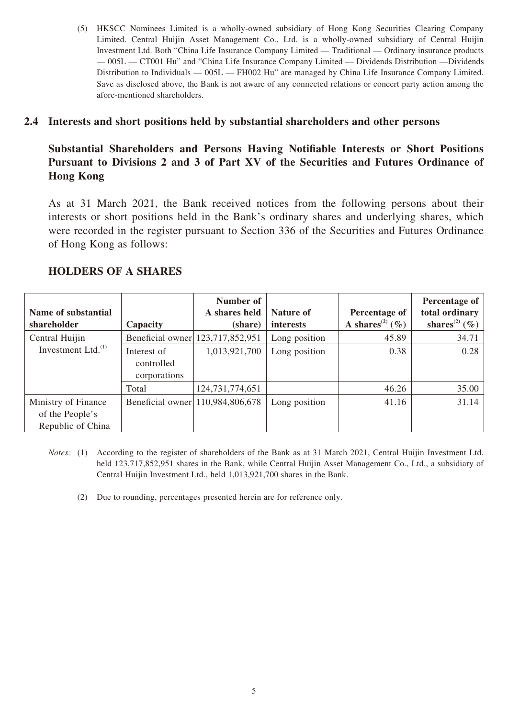(5) HKSCC Nominees Limited is a wholly-owned subsidiary of Hong Kong Securities Clearing Company Limited. Central Huijin Asset Management Co., Ltd. is a wholly-owned subsidiary of Central Huijin Investment Ltd. Both "China Life Insurance Company Limited — Traditional — Ordinary insurance products — 005L — CT001 Hu" and "China Life Insurance Company Limited — Dividends Distribution —Dividends Distribution to Individuals — 005L — FH002 Hu" are managed by China Life Insurance Company Limited. Save as disclosed above, the Bank is not aware of any connected relations or concert party action among the afore-mentioned shareholders.

#### **2.4 Interests and short positions held by substantial shareholders and other persons**

#### **Substantial Shareholders and Persons Having Notifiable Interests or Short Positions Pursuant to Divisions 2 and 3 of Part XV of the Securities and Futures Ordinance of Hong Kong**

As at 31 March 2021, the Bank received notices from the following persons about their interests or short positions held in the Bank's ordinary shares and underlying shares, which were recorded in the register pursuant to Section 336 of the Securities and Futures Ordinance of Hong Kong as follows:

| Name of substantial                                         |                                           | Number of<br>A shares held       | Nature of     | Percentage of                  | Percentage of<br>total ordinary |
|-------------------------------------------------------------|-------------------------------------------|----------------------------------|---------------|--------------------------------|---------------------------------|
| shareholder                                                 | Capacity                                  | (share)                          | interests     | A shares <sup>(2)</sup> $(\%)$ | shares <sup>(2)</sup> (%)       |
| Central Huijin                                              |                                           | Beneficial owner 123,717,852,951 | Long position | 45.89                          | 34.71                           |
| Investment Ltd. $^{(1)}$                                    | Interest of<br>controlled<br>corporations | 1,013,921,700                    | Long position | 0.38                           | 0.28                            |
|                                                             | Total                                     | 124, 731, 774, 651               |               | 46.26                          | 35.00                           |
| Ministry of Finance<br>of the People's<br>Republic of China |                                           | Beneficial owner 110,984,806,678 | Long position | 41.16                          | 31.14                           |

#### **HOLDERS OF A SHARES**

- *Notes:* (1) According to the register of shareholders of the Bank as at 31 March 2021, Central Huijin Investment Ltd. held 123,717,852,951 shares in the Bank, while Central Huijin Asset Management Co., Ltd., a subsidiary of Central Huijin Investment Ltd., held 1,013,921,700 shares in the Bank.
	- (2) Due to rounding, percentages presented herein are for reference only.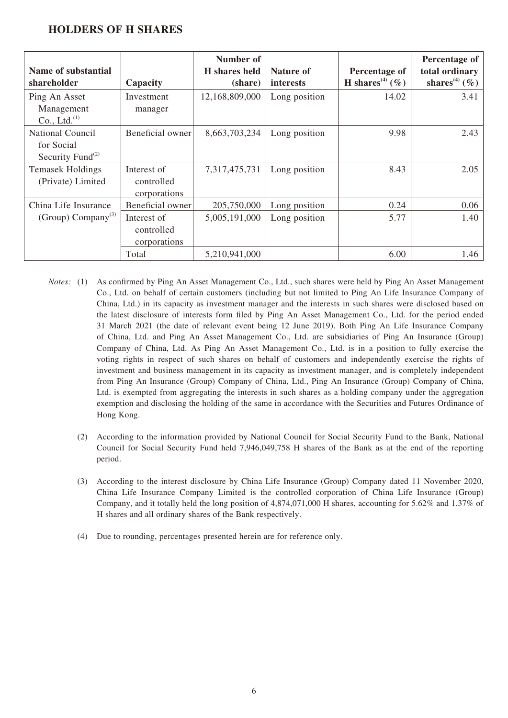#### **HOLDERS OF H SHARES**

| Name of substantial<br>shareholder                              | Capacity                                                      | Number of<br>H shares held<br>(share) | Nature of<br><i>interests</i>  | Percentage of<br>H shares <sup>(4)</sup> $(\% )$ | Percentage of<br>total ordinary<br>shares <sup>(4)</sup> $(\% )$ |
|-----------------------------------------------------------------|---------------------------------------------------------------|---------------------------------------|--------------------------------|--------------------------------------------------|------------------------------------------------------------------|
| Ping An Asset<br>Management<br>Co., Ltd. <sup>(1)</sup>         | Investment<br>manager                                         | 12,168,809,000                        | Long position                  | 14.02                                            | 3.41                                                             |
| <b>National Council</b><br>for Social<br>Security Fund $^{(2)}$ | Beneficial owner                                              | 8,663,703,234                         | Long position                  | 9.98                                             | 2.43                                                             |
| <b>Temasek Holdings</b><br>(Private) Limited                    | Interest of<br>controlled<br>corporations                     | 7,317,475,731                         | Long position                  | 8.43                                             | 2.05                                                             |
| China Life Insurance<br>(Group) Company <sup>(3)</sup>          | Beneficial owner<br>Interest of<br>controlled<br>corporations | 205,750,000<br>5,005,191,000          | Long position<br>Long position | 0.24<br>5.77                                     | 0.06<br>1.40                                                     |
|                                                                 | Total                                                         | 5,210,941,000                         |                                | 6.00                                             | 1.46                                                             |

- *Notes:* (1) As confirmed by Ping An Asset Management Co., Ltd., such shares were held by Ping An Asset Management Co., Ltd. on behalf of certain customers (including but not limited to Ping An Life Insurance Company of China, Ltd.) in its capacity as investment manager and the interests in such shares were disclosed based on the latest disclosure of interests form filed by Ping An Asset Management Co., Ltd. for the period ended 31 March 2021 (the date of relevant event being 12 June 2019). Both Ping An Life Insurance Company of China, Ltd. and Ping An Asset Management Co., Ltd. are subsidiaries of Ping An Insurance (Group) Company of China, Ltd. As Ping An Asset Management Co., Ltd. is in a position to fully exercise the voting rights in respect of such shares on behalf of customers and independently exercise the rights of investment and business management in its capacity as investment manager, and is completely independent from Ping An Insurance (Group) Company of China, Ltd., Ping An Insurance (Group) Company of China, Ltd. is exempted from aggregating the interests in such shares as a holding company under the aggregation exemption and disclosing the holding of the same in accordance with the Securities and Futures Ordinance of Hong Kong.
	- (2) According to the information provided by National Council for Social Security Fund to the Bank, National Council for Social Security Fund held 7,946,049,758 H shares of the Bank as at the end of the reporting period.
	- (3) According to the interest disclosure by China Life Insurance (Group) Company dated 11 November 2020, China Life Insurance Company Limited is the controlled corporation of China Life Insurance (Group) Company, and it totally held the long position of 4,874,071,000 H shares, accounting for 5.62% and 1.37% of H shares and all ordinary shares of the Bank respectively.
	- (4) Due to rounding, percentages presented herein are for reference only.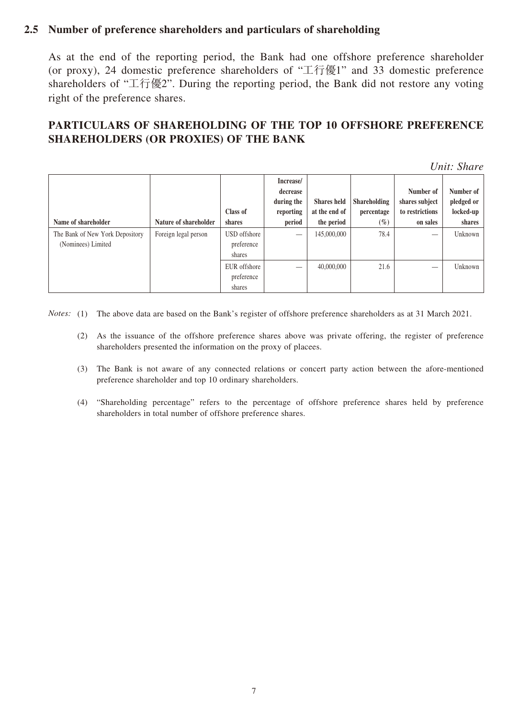#### **2.5 Number of preference shareholders and particulars of shareholding**

As at the end of the reporting period, the Bank had one offshore preference shareholder (or proxy), 24 domestic preference shareholders of "工行優1" and 33 domestic preference shareholders of "工行優2". During the reporting period, the Bank did not restore any voting right of the preference shares.

### **PARTICULARS OF SHAREHOLDING OF THE TOP 10 OFFSHORE PREFERENCE SHAREHOLDERS (OR PROXIES) OF THE BANK**

*Unit: Share*

| Name of shareholder                                   | Nature of shareholder | Class of<br>shares                   | Increase/<br>decrease<br>during the<br>reporting<br>period | <b>Shares</b> held<br>at the end of<br>the period | <b>Shareholding</b><br>percentage<br>$(\%)$ | Number of<br>shares subject<br>to restrictions<br>on sales | Number of<br>pledged or<br>locked-up<br>shares |
|-------------------------------------------------------|-----------------------|--------------------------------------|------------------------------------------------------------|---------------------------------------------------|---------------------------------------------|------------------------------------------------------------|------------------------------------------------|
| The Bank of New York Depository<br>(Nominees) Limited | Foreign legal person  | USD offshore<br>preference<br>shares |                                                            | 145,000,000                                       | 78.4                                        | $\overline{\phantom{m}}$                                   | Unknown                                        |
|                                                       |                       | EUR offshore<br>preference<br>shares |                                                            | 40,000,000                                        | 21.6                                        |                                                            | Unknown                                        |

*Notes:* (1) The above data are based on the Bank's register of offshore preference shareholders as at 31 March 2021.

- (2) As the issuance of the offshore preference shares above was private offering, the register of preference shareholders presented the information on the proxy of placees.
- (3) The Bank is not aware of any connected relations or concert party action between the afore-mentioned preference shareholder and top 10 ordinary shareholders.
- (4) "Shareholding percentage" refers to the percentage of offshore preference shares held by preference shareholders in total number of offshore preference shares.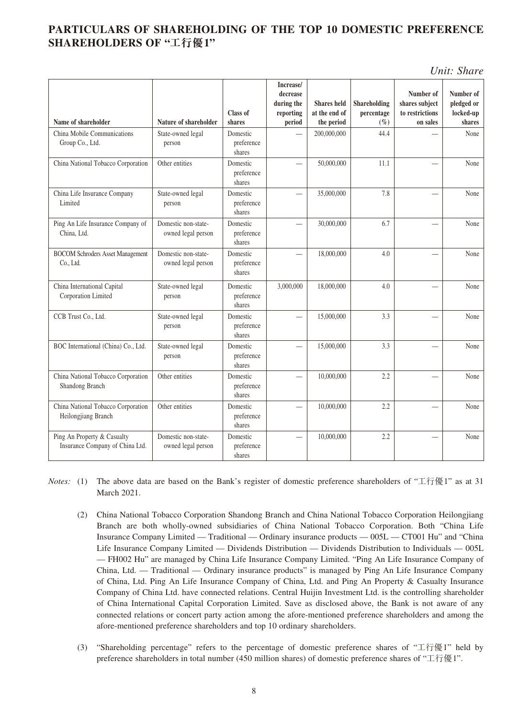### **PARTICULARS OF SHAREHOLDING OF THE TOP 10 DOMESTIC PREFERENCE SHAREHOLDERS OF "工行優1"**

*Unit: Share*

| Name of shareholder                                            | Nature of shareholder                     | Class of<br>shares               | Increase/<br>decrease<br>during the<br>reporting<br>period | <b>Shares</b> held<br>at the end of<br>the period | Shareholding<br>percentage<br>$(\%)$ | Number of<br>shares subject<br>to restrictions<br>on sales | Number of<br>pledged or<br>locked-up<br>shares |
|----------------------------------------------------------------|-------------------------------------------|----------------------------------|------------------------------------------------------------|---------------------------------------------------|--------------------------------------|------------------------------------------------------------|------------------------------------------------|
| China Mobile Communications<br>Group Co., Ltd.                 | State-owned legal<br>person               | Domestic<br>preference<br>shares |                                                            | 200,000,000                                       | 44.4                                 |                                                            | None                                           |
| China National Tobacco Corporation                             | Other entities                            | Domestic<br>preference<br>shares |                                                            | 50,000,000                                        | 11.1                                 |                                                            | None                                           |
| China Life Insurance Company<br>Limited                        | State-owned legal<br>person               | Domestic<br>preference<br>shares |                                                            | 35,000,000                                        | 7.8                                  | $\overline{\phantom{0}}$                                   | None                                           |
| Ping An Life Insurance Company of<br>China, Ltd.               | Domestic non-state-<br>owned legal person | Domestic<br>preference<br>shares |                                                            | 30,000,000                                        | 6.7                                  |                                                            | None                                           |
| <b>BOCOM Schroders Asset Management</b><br>Co., Ltd.           | Domestic non-state-<br>owned legal person | Domestic<br>preference<br>shares |                                                            | 18,000,000                                        | 4.0                                  |                                                            | None                                           |
| China International Capital<br>Corporation Limited             | State-owned legal<br>person               | Domestic<br>preference<br>shares | 3,000,000                                                  | 18,000,000                                        | 4.0                                  |                                                            | None                                           |
| CCB Trust Co., Ltd.                                            | State-owned legal<br>person               | Domestic<br>preference<br>shares |                                                            | 15,000,000                                        | 3.3                                  |                                                            | None                                           |
| BOC International (China) Co., Ltd.                            | State-owned legal<br>person               | Domestic<br>preference<br>shares |                                                            | 15,000,000                                        | 3.3                                  |                                                            | None                                           |
| China National Tobacco Corporation<br>Shandong Branch          | Other entities                            | Domestic<br>preference<br>shares |                                                            | 10,000,000                                        | 2.2                                  |                                                            | None                                           |
| China National Tobacco Corporation<br>Heilongjiang Branch      | Other entities                            | Domestic<br>preference<br>shares |                                                            | 10,000,000                                        | 2.2                                  | $\overline{\phantom{0}}$                                   | None                                           |
| Ping An Property & Casualty<br>Insurance Company of China Ltd. | Domestic non-state-<br>owned legal person | Domestic<br>preference<br>shares |                                                            | 10,000,000                                        | 2.2                                  |                                                            | None                                           |

*Notes:* (1) The above data are based on the Bank's register of domestic preference shareholders of "工行優1" as at 31 March 2021.

- (2) China National Tobacco Corporation Shandong Branch and China National Tobacco Corporation Heilongjiang Branch are both wholly-owned subsidiaries of China National Tobacco Corporation. Both "China Life Insurance Company Limited — Traditional — Ordinary insurance products — 005L — CT001 Hu" and "China Life Insurance Company Limited — Dividends Distribution — Dividends Distribution to Individuals — 005L — FH002 Hu" are managed by China Life Insurance Company Limited. "Ping An Life Insurance Company of China, Ltd. — Traditional — Ordinary insurance products" is managed by Ping An Life Insurance Company of China, Ltd. Ping An Life Insurance Company of China, Ltd. and Ping An Property & Casualty Insurance Company of China Ltd. have connected relations. Central Huijin Investment Ltd. is the controlling shareholder of China International Capital Corporation Limited. Save as disclosed above, the Bank is not aware of any connected relations or concert party action among the afore-mentioned preference shareholders and among the afore-mentioned preference shareholders and top 10 ordinary shareholders.
- (3) "Shareholding percentage" refers to the percentage of domestic preference shares of "工行優1" held by preference shareholders in total number (450 million shares) of domestic preference shares of "工行優1".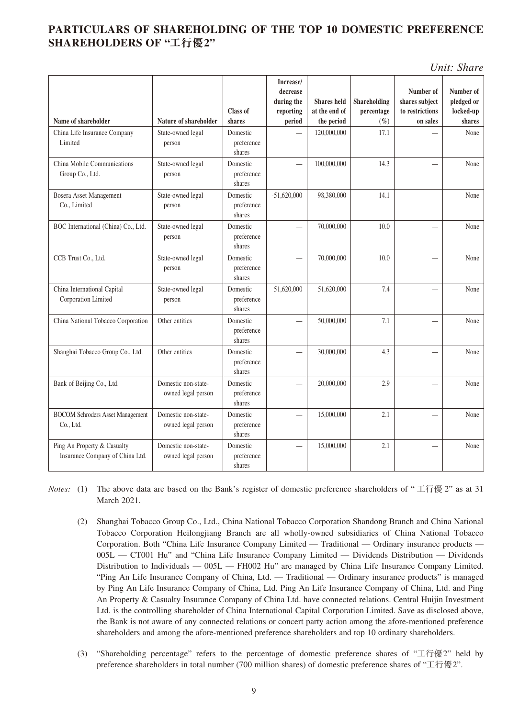### **PARTICULARS OF SHAREHOLDING OF THE TOP 10 DOMESTIC PREFERENCE SHAREHOLDERS OF "工行優2"**

*Unit: Share*

| Name of shareholder                                            | Nature of shareholder                     | Class of<br>shares               | Increase/<br>decrease<br>during the<br>reporting<br>period | <b>Shares</b> held<br>at the end of<br>the period | Shareholding<br>percentage<br>$(\%)$ | Number of<br>shares subject<br>to restrictions<br>on sales | Number of<br>pledged or<br>locked-up<br>shares |
|----------------------------------------------------------------|-------------------------------------------|----------------------------------|------------------------------------------------------------|---------------------------------------------------|--------------------------------------|------------------------------------------------------------|------------------------------------------------|
| China Life Insurance Company<br>Limited                        | State-owned legal<br>person               | Domestic<br>preference<br>shares |                                                            | 120,000,000                                       | 17.1                                 |                                                            | None                                           |
| China Mobile Communications<br>Group Co., Ltd.                 | State-owned legal<br>person               | Domestic<br>preference<br>shares |                                                            | 100,000,000                                       | 14.3                                 |                                                            | None                                           |
| Bosera Asset Management<br>Co., Limited                        | State-owned legal<br>person               | Domestic<br>preference<br>shares | $-51,620,000$                                              | 98,380,000                                        | 14.1                                 |                                                            | None                                           |
| BOC International (China) Co., Ltd.                            | State-owned legal<br>person               | Domestic<br>preference<br>shares |                                                            | 70,000,000                                        | 10.0                                 |                                                            | None                                           |
| CCB Trust Co., Ltd.                                            | State-owned legal<br>person               | Domestic<br>preference<br>shares |                                                            | 70,000,000                                        | 10.0                                 |                                                            | None                                           |
| China International Capital<br>Corporation Limited             | State-owned legal<br>person               | Domestic<br>preference<br>shares | 51,620,000                                                 | 51,620,000                                        | 7.4                                  |                                                            | None                                           |
| China National Tobacco Corporation                             | Other entities                            | Domestic<br>preference<br>shares |                                                            | 50,000,000                                        | 7.1                                  | $\overline{\phantom{0}}$                                   | None                                           |
| Shanghai Tobacco Group Co., Ltd.                               | Other entities                            | Domestic<br>preference<br>shares |                                                            | 30,000,000                                        | 4.3                                  |                                                            | None                                           |
| Bank of Beijing Co., Ltd.                                      | Domestic non-state-<br>owned legal person | Domestic<br>preference<br>shares |                                                            | 20,000,000                                        | 2.9                                  | $\overline{\phantom{0}}$                                   | None                                           |
| <b>BOCOM Schroders Asset Management</b><br>Co., Ltd.           | Domestic non-state-<br>owned legal person | Domestic<br>preference<br>shares |                                                            | 15,000,000                                        | 2.1                                  |                                                            | None                                           |
| Ping An Property & Casualty<br>Insurance Company of China Ltd. | Domestic non-state-<br>owned legal person | Domestic<br>preference<br>shares |                                                            | 15,000,000                                        | 2.1                                  |                                                            | None                                           |

- *Notes:* (1) The above data are based on the Bank's register of domestic preference shareholders of " 工行優 2" as at 31 March 2021.
	- (2) Shanghai Tobacco Group Co., Ltd., China National Tobacco Corporation Shandong Branch and China National Tobacco Corporation Heilongjiang Branch are all wholly-owned subsidiaries of China National Tobacco Corporation. Both "China Life Insurance Company Limited — Traditional — Ordinary insurance products — 005L — CT001 Hu" and "China Life Insurance Company Limited — Dividends Distribution — Dividends Distribution to Individuals — 005L — FH002 Hu" are managed by China Life Insurance Company Limited. "Ping An Life Insurance Company of China, Ltd. — Traditional — Ordinary insurance products" is managed by Ping An Life Insurance Company of China, Ltd. Ping An Life Insurance Company of China, Ltd. and Ping An Property & Casualty Insurance Company of China Ltd. have connected relations. Central Huijin Investment Ltd. is the controlling shareholder of China International Capital Corporation Limited. Save as disclosed above, the Bank is not aware of any connected relations or concert party action among the afore-mentioned preference shareholders and among the afore-mentioned preference shareholders and top 10 ordinary shareholders.
	- (3) "Shareholding percentage" refers to the percentage of domestic preference shares of "工行優2" held by preference shareholders in total number (700 million shares) of domestic preference shares of "工行優2".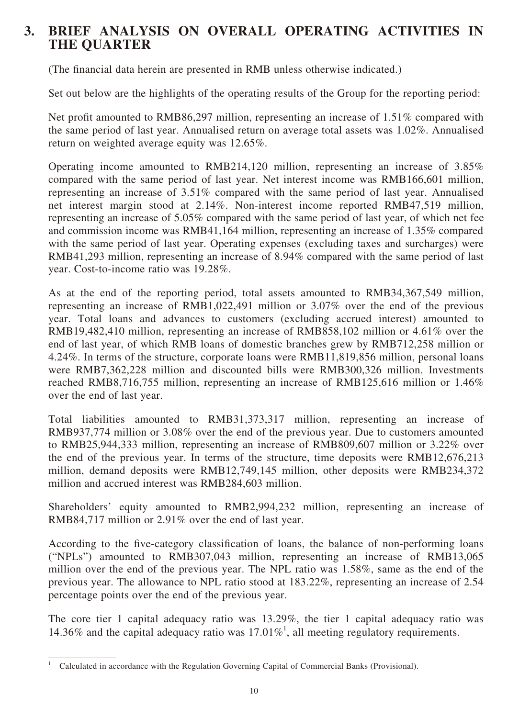## **3. BRIEF ANALYSIS ON OVERALL OPERATING ACTIVITIES IN THE QUARTER**

(The financial data herein are presented in RMB unless otherwise indicated.)

Set out below are the highlights of the operating results of the Group for the reporting period:

Net profit amounted to RMB86,297 million, representing an increase of 1.51% compared with the same period of last year. Annualised return on average total assets was 1.02%. Annualised return on weighted average equity was 12.65%.

Operating income amounted to RMB214,120 million, representing an increase of 3.85% compared with the same period of last year. Net interest income was RMB166,601 million, representing an increase of 3.51% compared with the same period of last year. Annualised net interest margin stood at 2.14%. Non-interest income reported RMB47,519 million, representing an increase of 5.05% compared with the same period of last year, of which net fee and commission income was RMB41,164 million, representing an increase of 1.35% compared with the same period of last year. Operating expenses (excluding taxes and surcharges) were RMB41,293 million, representing an increase of 8.94% compared with the same period of last year. Cost-to-income ratio was 19.28%.

As at the end of the reporting period, total assets amounted to RMB34,367,549 million, representing an increase of RMB1,022,491 million or 3.07% over the end of the previous year. Total loans and advances to customers (excluding accrued interest) amounted to RMB19,482,410 million, representing an increase of RMB858,102 million or 4.61% over the end of last year, of which RMB loans of domestic branches grew by RMB712,258 million or 4.24%. In terms of the structure, corporate loans were RMB11,819,856 million, personal loans were RMB7,362,228 million and discounted bills were RMB300,326 million. Investments reached RMB8,716,755 million, representing an increase of RMB125,616 million or 1.46% over the end of last year.

Total liabilities amounted to RMB31,373,317 million, representing an increase of RMB937,774 million or 3.08% over the end of the previous year. Due to customers amounted to RMB25,944,333 million, representing an increase of RMB809,607 million or 3.22% over the end of the previous year. In terms of the structure, time deposits were RMB12,676,213 million, demand deposits were RMB12,749,145 million, other deposits were RMB234,372 million and accrued interest was RMB284,603 million.

Shareholders' equity amounted to RMB2,994,232 million, representing an increase of RMB84,717 million or 2.91% over the end of last year.

According to the five-category classification of loans, the balance of non-performing loans ("NPLs") amounted to RMB307,043 million, representing an increase of RMB13,065 million over the end of the previous year. The NPL ratio was 1.58%, same as the end of the previous year. The allowance to NPL ratio stood at 183.22%, representing an increase of 2.54 percentage points over the end of the previous year.

The core tier 1 capital adequacy ratio was 13.29%, the tier 1 capital adequacy ratio was 14.36% and the capital adequacy ratio was 17.01%<sup>1</sup>, all meeting regulatory requirements.

<sup>1</sup> Calculated in accordance with the Regulation Governing Capital of Commercial Banks (Provisional).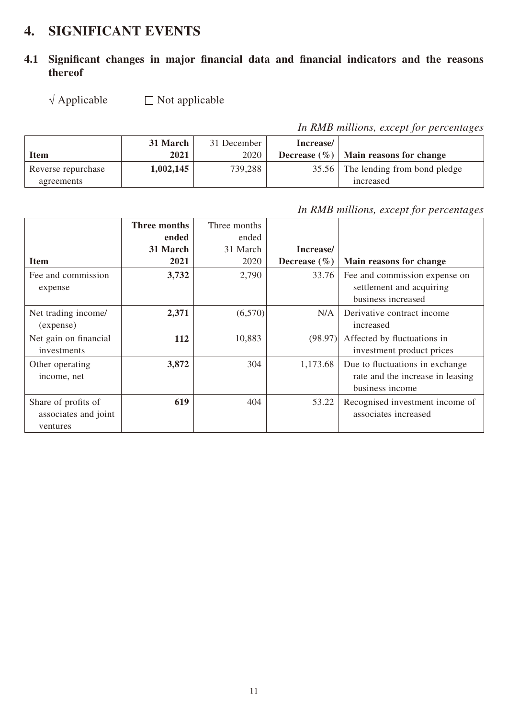## **4. SIGNIFICANT EVENTS**

## **4.1 Significant changes in major financial data and financial indicators and the reasons thereof**

 $\sqrt{\text{Applied}}$  Applicable  $\Box$  Not applicable

*In RMB millions, except for percentages*

|                    | 31 March  | 31 December | Increase/ |                                            |
|--------------------|-----------|-------------|-----------|--------------------------------------------|
| Item               | 2021      | 2020        |           | Decrease $(\% )$   Main reasons for change |
| Reverse repurchase | 1,002,145 | 739,288     |           | 35.56 The lending from bond pledge         |
| agreements         |           |             |           | increased                                  |

*In RMB millions, except for percentages*

|                       | Three months<br>ended | Three months<br>ended |                  |                                  |
|-----------------------|-----------------------|-----------------------|------------------|----------------------------------|
|                       | 31 March              | 31 March              | Increase/        |                                  |
| <b>Item</b>           | 2021                  | 2020                  | Decrease $(\% )$ | Main reasons for change          |
| Fee and commission    | 3,732                 | 2,790                 | 33.76            | Fee and commission expense on    |
| expense               |                       |                       |                  | settlement and acquiring         |
|                       |                       |                       |                  | business increased               |
| Net trading income/   | 2,371                 | (6,570)               | N/A              | Derivative contract income       |
| (expense)             |                       |                       |                  | increased                        |
| Net gain on financial | 112                   | 10,883                | (98.97)          | Affected by fluctuations in      |
| investments           |                       |                       |                  | investment product prices        |
| Other operating       | 3,872                 | 304                   | 1,173.68         | Due to fluctuations in exchange  |
| income, net           |                       |                       |                  | rate and the increase in leasing |
|                       |                       |                       |                  | business income                  |
| Share of profits of   | 619                   | 404                   | 53.22            | Recognised investment income of  |
| associates and joint  |                       |                       |                  | associates increased             |
| ventures              |                       |                       |                  |                                  |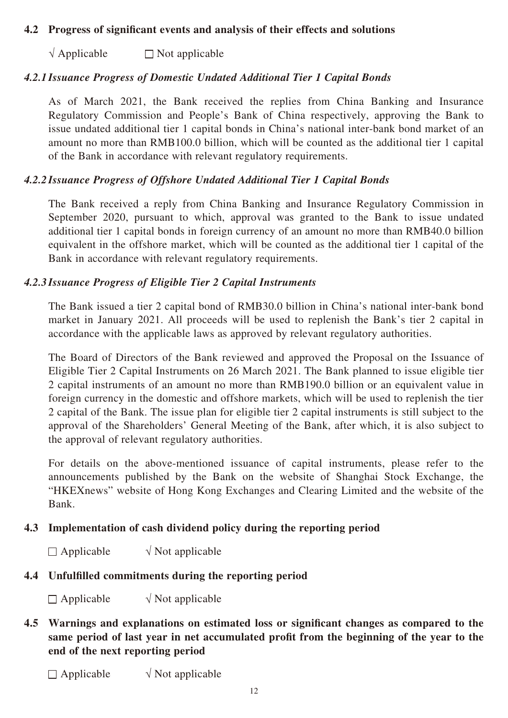#### **4.2 Progress of significant events and analysis of their effects and solutions**

 $\sqrt{\text{Applicable}}$  Not applicable

#### *4.2.1 Issuance Progress of Domestic Undated Additional Tier 1 Capital Bonds*

As of March 2021, the Bank received the replies from China Banking and Insurance Regulatory Commission and People's Bank of China respectively, approving the Bank to issue undated additional tier 1 capital bonds in China's national inter-bank bond market of an amount no more than RMB100.0 billion, which will be counted as the additional tier 1 capital of the Bank in accordance with relevant regulatory requirements.

#### *4.2.2 Issuance Progress of Offshore Undated Additional Tier 1 Capital Bonds*

The Bank received a reply from China Banking and Insurance Regulatory Commission in September 2020, pursuant to which, approval was granted to the Bank to issue undated additional tier 1 capital bonds in foreign currency of an amount no more than RMB40.0 billion equivalent in the offshore market, which will be counted as the additional tier 1 capital of the Bank in accordance with relevant regulatory requirements.

#### *4.2.3 Issuance Progress of Eligible Tier 2 Capital Instruments*

The Bank issued a tier 2 capital bond of RMB30.0 billion in China's national inter-bank bond market in January 2021. All proceeds will be used to replenish the Bank's tier 2 capital in accordance with the applicable laws as approved by relevant regulatory authorities.

The Board of Directors of the Bank reviewed and approved the Proposal on the Issuance of Eligible Tier 2 Capital Instruments on 26 March 2021. The Bank planned to issue eligible tier 2 capital instruments of an amount no more than RMB190.0 billion or an equivalent value in foreign currency in the domestic and offshore markets, which will be used to replenish the tier 2 capital of the Bank. The issue plan for eligible tier 2 capital instruments is still subject to the approval of the Shareholders' General Meeting of the Bank, after which, it is also subject to the approval of relevant regulatory authorities.

For details on the above-mentioned issuance of capital instruments, please refer to the announcements published by the Bank on the website of Shanghai Stock Exchange, the "HKEXnews" website of Hong Kong Exchanges and Clearing Limited and the website of the Bank.

#### **4.3 Implementation of cash dividend policy during the reporting period**

 $\Box$  Applicable  $\sqrt{\phantom{a}}$  Not applicable

## **4.4 Unfulfilled commitments during the reporting period**

 $\Box$  Applicable  $\sqrt{\phantom{a}}$  Not applicable

### **4.5 Warnings and explanations on estimated loss or significant changes as compared to the same period of last year in net accumulated profit from the beginning of the year to the end of the next reporting period**

 $\Box$  Applicable  $\sqrt{\phantom{a}}$  Not applicable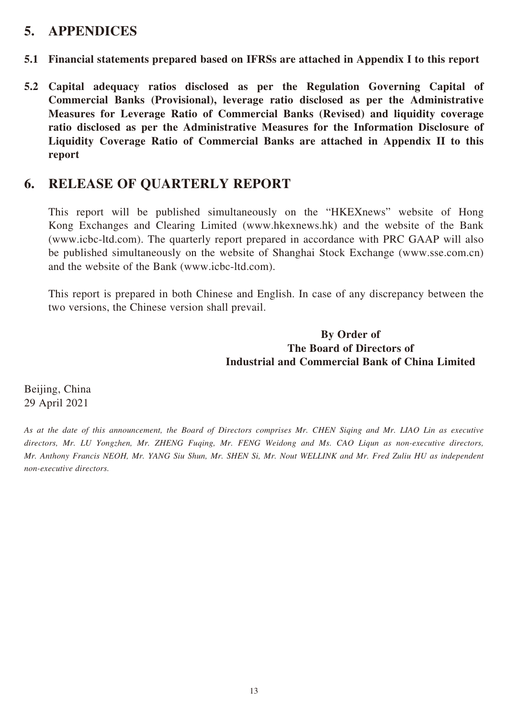## **5. APPENDICES**

- **5.1 Financial statements prepared based on IFRSs are attached in Appendix I to this report**
- **5.2 Capital adequacy ratios disclosed as per the Regulation Governing Capital of Commercial Banks (Provisional), leverage ratio disclosed as per the Administrative Measures for Leverage Ratio of Commercial Banks (Revised) and liquidity coverage ratio disclosed as per the Administrative Measures for the Information Disclosure of Liquidity Coverage Ratio of Commercial Banks are attached in Appendix II to this report**

## **6. RELEASE OF QUARTERLY REPORT**

This report will be published simultaneously on the "HKEXnews" website of Hong Kong Exchanges and Clearing Limited (www.hkexnews.hk) and the website of the Bank (www.icbc-ltd.com). The quarterly report prepared in accordance with PRC GAAP will also be published simultaneously on the website of Shanghai Stock Exchange (www.sse.com.cn) and the website of the Bank (www.icbc-ltd.com).

This report is prepared in both Chinese and English. In case of any discrepancy between the two versions, the Chinese version shall prevail.

#### **By Order of The Board of Directors of Industrial and Commercial Bank of China Limited**

Beijing, China 29 April 2021

*As at the date of this announcement, the Board of Directors comprises Mr. CHEN Siqing and Mr. LIAO Lin as executive directors, Mr. LU Yongzhen, Mr. ZHENG Fuqing, Mr. FENG Weidong and Ms. CAO Liqun as non-executive directors, Mr. Anthony Francis NEOH, Mr. YANG Siu Shun, Mr. SHEN Si, Mr. Nout WELLINK and Mr. Fred Zuliu HU as independent non-executive directors.*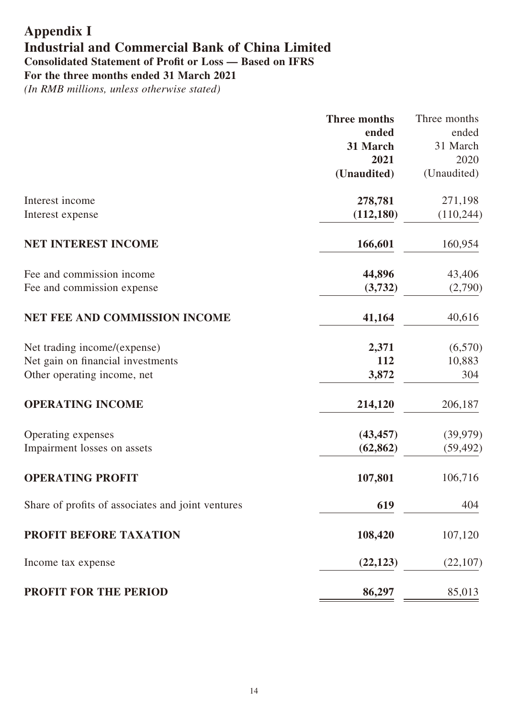# **Appendix I Industrial and Commercial Bank of China Limited Consolidated Statement of Profit or Loss — Based on IFRS**

**For the three months ended 31 March 2021**

|                                                   | <b>Three months</b> | Three months |
|---------------------------------------------------|---------------------|--------------|
|                                                   | ended               | ended        |
|                                                   | 31 March            | 31 March     |
|                                                   | 2021                | 2020         |
|                                                   | (Unaudited)         | (Unaudited)  |
| Interest income                                   | 278,781             | 271,198      |
| Interest expense                                  | (112, 180)          | (110, 244)   |
| NET INTEREST INCOME                               | 166,601             | 160,954      |
| Fee and commission income                         | 44,896              | 43,406       |
| Fee and commission expense                        | (3,732)             | (2,790)      |
| <b>NET FEE AND COMMISSION INCOME</b>              | 41,164              | 40,616       |
| Net trading income/(expense)                      | 2,371               | (6,570)      |
| Net gain on financial investments                 | 112                 | 10,883       |
| Other operating income, net                       | 3,872               | 304          |
| <b>OPERATING INCOME</b>                           | 214,120             | 206,187      |
| Operating expenses                                | (43, 457)           | (39, 979)    |
| Impairment losses on assets                       | (62, 862)           | (59, 492)    |
| <b>OPERATING PROFIT</b>                           | 107,801             | 106,716      |
| Share of profits of associates and joint ventures | 619                 | 404          |
| PROFIT BEFORE TAXATION                            | 108,420             | 107,120      |
| Income tax expense                                | (22, 123)           | (22,107)     |
| <b>PROFIT FOR THE PERIOD</b>                      | 86,297              | 85,013       |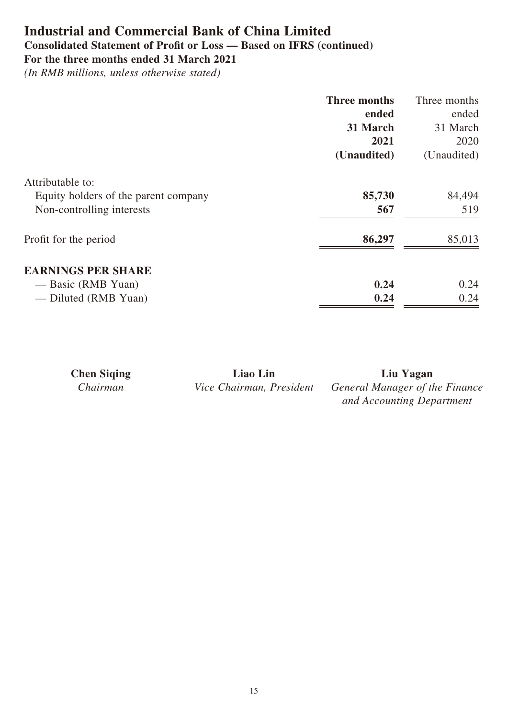## **Industrial and Commercial Bank of China Limited**

## **Consolidated Statement of Profit or Loss — Based on IFRS (continued)**

**For the three months ended 31 March 2021**

|                                      | Three months | Three months |
|--------------------------------------|--------------|--------------|
|                                      | ended        | ended        |
|                                      | 31 March     | 31 March     |
|                                      | 2021         | 2020         |
|                                      | (Unaudited)  | (Unaudited)  |
| Attributable to:                     |              |              |
| Equity holders of the parent company | 85,730       | 84,494       |
| Non-controlling interests            | 567          | 519          |
| Profit for the period                | 86,297       | 85,013       |
| <b>EARNINGS PER SHARE</b>            |              |              |
| — Basic (RMB Yuan)                   | 0.24         | 0.24         |
| — Diluted (RMB Yuan)                 | 0.24         | 0.24         |

| <b>Chen Siging</b> | Liao Lin                 | Liu Yagan                      |
|--------------------|--------------------------|--------------------------------|
| Chairman           | Vice Chairman, President | General Manager of the Finance |
|                    |                          | and Accounting Department      |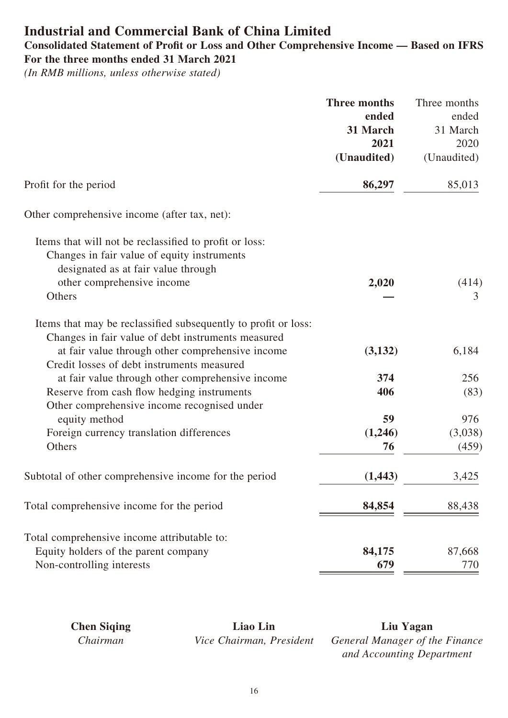## **Industrial and Commercial Bank of China Limited**

#### **Consolidated Statement of Profit or Loss and Other Comprehensive Income — Based on IFRS For the three months ended 31 March 2021**

*(In RMB millions, unless otherwise stated)*

|                                                                | <b>Three months</b> | Three months |
|----------------------------------------------------------------|---------------------|--------------|
|                                                                | ended               | ended        |
|                                                                | 31 March            | 31 March     |
|                                                                | 2021                | 2020         |
|                                                                | (Unaudited)         | (Unaudited)  |
| Profit for the period                                          | 86,297              | 85,013       |
| Other comprehensive income (after tax, net):                   |                     |              |
| Items that will not be reclassified to profit or loss:         |                     |              |
| Changes in fair value of equity instruments                    |                     |              |
| designated as at fair value through                            |                     |              |
| other comprehensive income                                     | 2,020               | (414)        |
| Others                                                         |                     | 3            |
| Items that may be reclassified subsequently to profit or loss: |                     |              |
| Changes in fair value of debt instruments measured             |                     |              |
| at fair value through other comprehensive income               | (3,132)             | 6,184        |
| Credit losses of debt instruments measured                     |                     |              |
| at fair value through other comprehensive income               | 374                 | 256          |
| Reserve from cash flow hedging instruments                     | 406                 | (83)         |
| Other comprehensive income recognised under                    |                     |              |
| equity method                                                  | 59                  | 976          |
| Foreign currency translation differences                       | (1,246)             | (3,038)      |
| Others                                                         | 76                  | (459)        |
| Subtotal of other comprehensive income for the period          | (1, 443)            | 3,425        |
| Total comprehensive income for the period                      | 84,854              | 88,438       |
| Total comprehensive income attributable to:                    |                     |              |
| Equity holders of the parent company                           | 84,175              | 87,668       |
| Non-controlling interests                                      | 679                 | 770          |

**Chen Siqing Liao Lin Liu Yagan**

*Chairman Vice Chairman, President General Manager of the Finance and Accounting Department*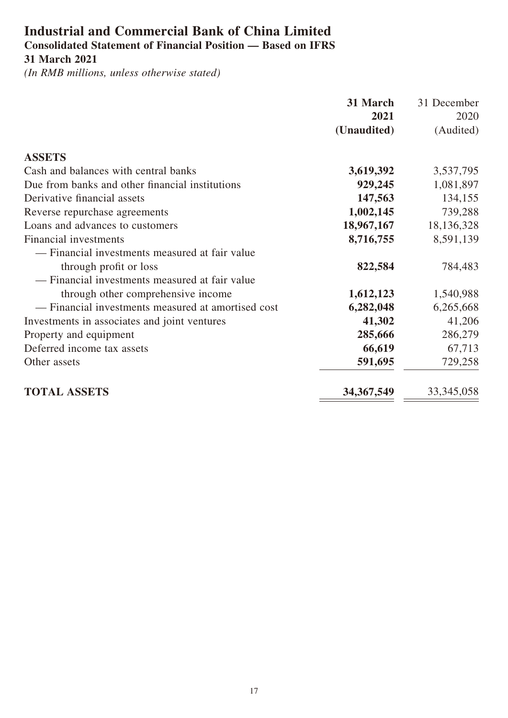## **Industrial and Commercial Bank of China Limited Consolidated Statement of Financial Position — Based on IFRS 31 March 2021**

|                                                    | 31 March     | 31 December  |
|----------------------------------------------------|--------------|--------------|
|                                                    | 2021         | 2020         |
|                                                    | (Unaudited)  | (Audited)    |
| <b>ASSETS</b>                                      |              |              |
| Cash and balances with central banks               | 3,619,392    | 3,537,795    |
| Due from banks and other financial institutions    | 929,245      | 1,081,897    |
| Derivative financial assets                        | 147,563      | 134,155      |
| Reverse repurchase agreements                      | 1,002,145    | 739,288      |
| Loans and advances to customers                    | 18,967,167   | 18,136,328   |
| Financial investments                              | 8,716,755    | 8,591,139    |
| — Financial investments measured at fair value     |              |              |
| through profit or loss                             | 822,584      | 784,483      |
| - Financial investments measured at fair value     |              |              |
| through other comprehensive income                 | 1,612,123    | 1,540,988    |
| - Financial investments measured at amortised cost | 6,282,048    | 6,265,668    |
| Investments in associates and joint ventures       | 41,302       | 41,206       |
| Property and equipment                             | 285,666      | 286,279      |
| Deferred income tax assets                         | 66,619       | 67,713       |
| Other assets                                       | 591,695      | 729,258      |
| <b>TOTAL ASSETS</b>                                | 34, 367, 549 | 33, 345, 058 |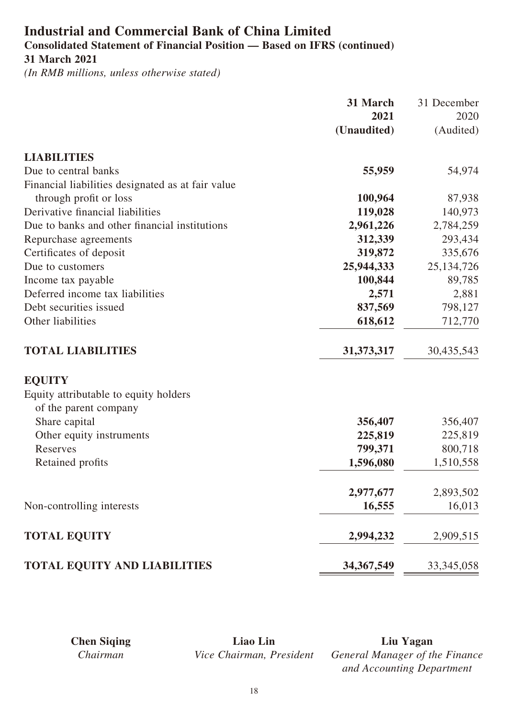### **Industrial and Commercial Bank of China Limited Consolidated Statement of Financial Position — Based on IFRS (continued) 31 March 2021**

*(In RMB millions, unless otherwise stated)*

|                                                   | 31 March     | 31 December  |
|---------------------------------------------------|--------------|--------------|
|                                                   | 2021         | 2020         |
|                                                   | (Unaudited)  | (Audited)    |
| <b>LIABILITIES</b>                                |              |              |
| Due to central banks                              | 55,959       | 54,974       |
| Financial liabilities designated as at fair value |              |              |
| through profit or loss                            | 100,964      | 87,938       |
| Derivative financial liabilities                  | 119,028      | 140,973      |
| Due to banks and other financial institutions     | 2,961,226    | 2,784,259    |
| Repurchase agreements                             | 312,339      | 293,434      |
| Certificates of deposit                           | 319,872      | 335,676      |
| Due to customers                                  | 25,944,333   | 25, 134, 726 |
| Income tax payable                                | 100,844      | 89,785       |
| Deferred income tax liabilities                   | 2,571        | 2,881        |
| Debt securities issued                            | 837,569      | 798,127      |
| Other liabilities                                 | 618,612      | 712,770      |
| <b>TOTAL LIABILITIES</b>                          | 31, 373, 317 | 30,435,543   |
| <b>EQUITY</b>                                     |              |              |
| Equity attributable to equity holders             |              |              |
| of the parent company                             |              |              |
| Share capital                                     | 356,407      | 356,407      |
| Other equity instruments                          | 225,819      | 225,819      |
| Reserves                                          | 799,371      | 800,718      |
| Retained profits                                  | 1,596,080    | 1,510,558    |
|                                                   | 2,977,677    | 2,893,502    |
| Non-controlling interests                         | 16,555       | 16,013       |
| <b>TOTAL EQUITY</b>                               | 2,994,232    | 2,909,515    |
| <b>TOTAL EQUITY AND LIABILITIES</b>               | 34, 367, 549 | 33, 345, 058 |

**Chen Siqing Liao Lin Liu Yagan** *Chairman Vice Chairman, President General Manager of the Finance and Accounting Department*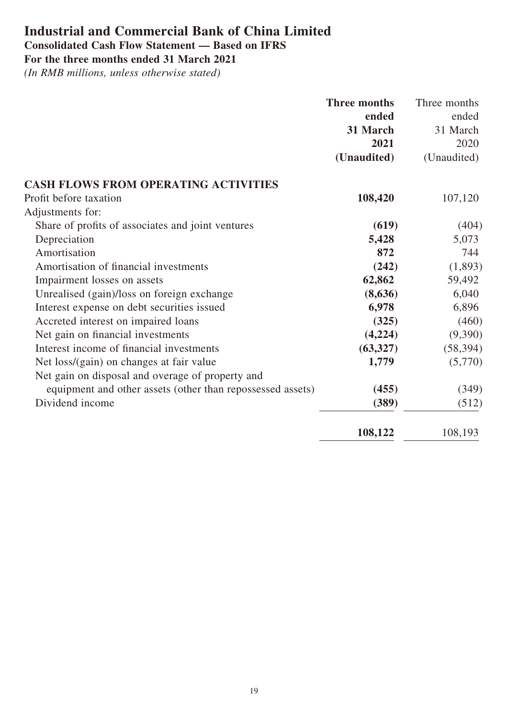## **Industrial and Commercial Bank of China Limited Consolidated Cash Flow Statement — Based on IFRS**

**For the three months ended 31 March 2021**

|                                                            | <b>Three months</b> | Three months |
|------------------------------------------------------------|---------------------|--------------|
|                                                            | ended               | ended        |
|                                                            | 31 March            | 31 March     |
|                                                            | 2021                | 2020         |
|                                                            | (Unaudited)         | (Unaudited)  |
| <b>CASH FLOWS FROM OPERATING ACTIVITIES</b>                |                     |              |
| Profit before taxation                                     | 108,420             | 107,120      |
| Adjustments for:                                           |                     |              |
| Share of profits of associates and joint ventures          | (619)               | (404)        |
| Depreciation                                               | 5,428               | 5,073        |
| Amortisation                                               | 872                 | 744          |
| Amortisation of financial investments                      | (242)               | (1,893)      |
| Impairment losses on assets                                | 62,862              | 59,492       |
| Unrealised (gain)/loss on foreign exchange                 | (8,636)             | 6,040        |
| Interest expense on debt securities issued                 | 6,978               | 6,896        |
| Accreted interest on impaired loans                        | (325)               | (460)        |
| Net gain on financial investments                          | (4,224)             | (9,390)      |
| Interest income of financial investments                   | (63, 327)           | (58, 394)    |
| Net loss/(gain) on changes at fair value                   | 1,779               | (5,770)      |
| Net gain on disposal and overage of property and           |                     |              |
| equipment and other assets (other than repossessed assets) | (455)               | (349)        |
| Dividend income                                            | (389)               | (512)        |
|                                                            | 108,122             | 108,193      |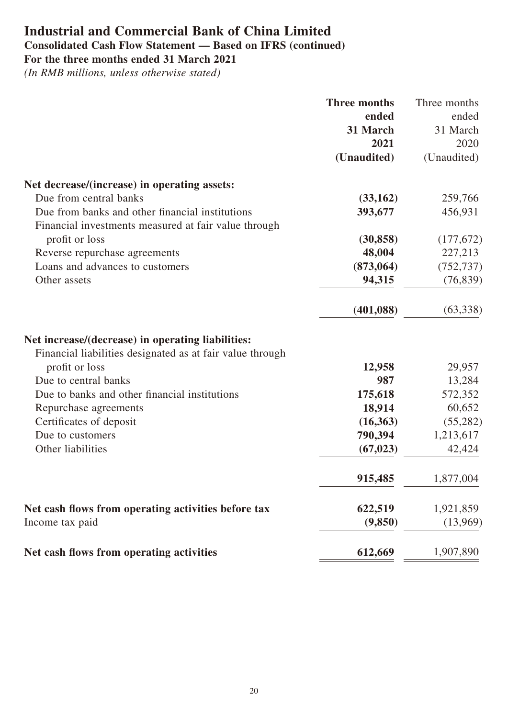## **Industrial and Commercial Bank of China Limited Consolidated Cash Flow Statement — Based on IFRS (continued) For the three months ended 31 March 2021**

|                                                           | <b>Three months</b> | Three months |
|-----------------------------------------------------------|---------------------|--------------|
|                                                           | ended               | ended        |
|                                                           | 31 March            | 31 March     |
|                                                           | 2021                | 2020         |
|                                                           | (Unaudited)         | (Unaudited)  |
| Net decrease/(increase) in operating assets:              |                     |              |
| Due from central banks                                    | (33,162)            | 259,766      |
| Due from banks and other financial institutions           | 393,677             | 456,931      |
| Financial investments measured at fair value through      |                     |              |
| profit or loss                                            | (30, 858)           | (177,672)    |
| Reverse repurchase agreements                             | 48,004              | 227,213      |
| Loans and advances to customers                           | (873,064)           | (752, 737)   |
| Other assets                                              | 94,315              | (76, 839)    |
|                                                           | (401, 088)          | (63,338)     |
| Net increase/(decrease) in operating liabilities:         |                     |              |
| Financial liabilities designated as at fair value through |                     |              |
| profit or loss                                            | 12,958              | 29,957       |
| Due to central banks                                      | 987                 | 13,284       |
| Due to banks and other financial institutions             | 175,618             | 572,352      |
| Repurchase agreements                                     | 18,914              | 60,652       |
| Certificates of deposit                                   | (16,363)            | (55,282)     |
| Due to customers                                          | 790,394             | 1,213,617    |
| Other liabilities                                         | (67, 023)           | 42,424       |
|                                                           | 915,485             | 1,877,004    |
| Net cash flows from operating activities before tax       | 622,519             | 1,921,859    |
| Income tax paid                                           | (9, 850)            | (13,969)     |
| Net cash flows from operating activities                  | 612,669             | 1,907,890    |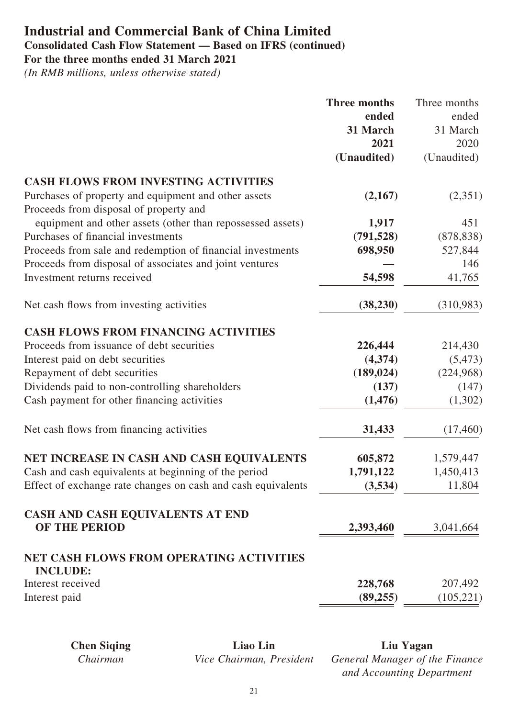## **Industrial and Commercial Bank of China Limited Consolidated Cash Flow Statement — Based on IFRS (continued) For the three months ended 31 March 2021**

|                                                              | <b>Three months</b> | Three months |
|--------------------------------------------------------------|---------------------|--------------|
|                                                              | ended               | ended        |
|                                                              | 31 March            | 31 March     |
|                                                              | 2021                | 2020         |
|                                                              | (Unaudited)         | (Unaudited)  |
| <b>CASH FLOWS FROM INVESTING ACTIVITIES</b>                  |                     |              |
| Purchases of property and equipment and other assets         | (2,167)             | (2,351)      |
| Proceeds from disposal of property and                       |                     |              |
| equipment and other assets (other than repossessed assets)   | 1,917               | 451          |
| Purchases of financial investments                           | (791, 528)          | (878, 838)   |
| Proceeds from sale and redemption of financial investments   | 698,950             | 527,844      |
| Proceeds from disposal of associates and joint ventures      |                     | 146          |
| Investment returns received                                  | 54,598              | 41,765       |
| Net cash flows from investing activities                     | (38, 230)           | (310,983)    |
| <b>CASH FLOWS FROM FINANCING ACTIVITIES</b>                  |                     |              |
| Proceeds from issuance of debt securities                    | 226,444             | 214,430      |
| Interest paid on debt securities                             | (4,374)             | (5, 473)     |
| Repayment of debt securities                                 | (189, 024)          | (224,968)    |
| Dividends paid to non-controlling shareholders               | (137)               | (147)        |
| Cash payment for other financing activities                  | (1, 476)            | (1,302)      |
| Net cash flows from financing activities                     | 31,433              | (17, 460)    |
| NET INCREASE IN CASH AND CASH EQUIVALENTS                    | 605,872             | 1,579,447    |
| Cash and cash equivalents at beginning of the period         | 1,791,122           | 1,450,413    |
| Effect of exchange rate changes on cash and cash equivalents | (3,534)             | 11,804       |
| CASH AND CASH EQUIVALENTS AT END                             |                     |              |
| OF THE PERIOD                                                | 2,393,460           | 3,041,664    |
| <b>NET CASH FLOWS FROM OPERATING ACTIVITIES</b>              |                     |              |
| <b>INCLUDE:</b><br>Interest received                         | 228,768             | 207,492      |
| Interest paid                                                | (89, 255)           | (105, 221)   |
|                                                              |                     |              |

| <b>Chen Siging</b> | Liao Lin                 | Liu Yagan                      |
|--------------------|--------------------------|--------------------------------|
| Chairman           | Vice Chairman, President | General Manager of the Finance |
|                    |                          | and Accounting Department      |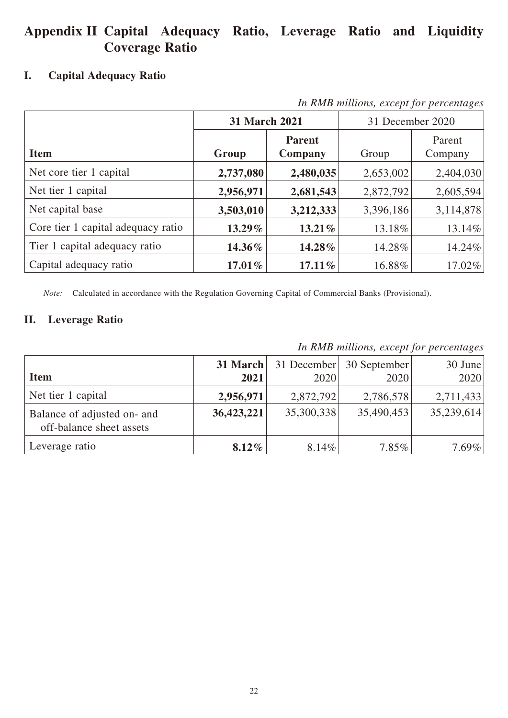## **Appendix II Capital Adequacy Ratio, Leverage Ratio and Liquidity Coverage Ratio**

#### **I. Capital Adequacy Ratio**

| In KND mutuons, except for percentages |               |                          |                  |                   |  |
|----------------------------------------|---------------|--------------------------|------------------|-------------------|--|
|                                        | 31 March 2021 |                          | 31 December 2020 |                   |  |
| <b>Item</b>                            | Group         | <b>Parent</b><br>Company | Group            | Parent<br>Company |  |
| Net core tier 1 capital                | 2,737,080     | 2,480,035                | 2,653,002        | 2,404,030         |  |
| Net tier 1 capital                     | 2,956,971     | 2,681,543                | 2,872,792        | 2,605,594         |  |
| Net capital base                       | 3,503,010     | 3,212,333                | 3,396,186        | 3,114,878         |  |
| Core tier 1 capital adequacy ratio     | 13.29%        | 13.21%                   | 13.18%           | 13.14%            |  |
| Tier 1 capital adequacy ratio          | 14.36%        | 14.28%                   | 14.28%           | 14.24%            |  |
| Capital adequacy ratio                 | $17.01\%$     | $17.11\%$                | 16.88%           | $17.02\%$         |  |

*In RMB millions, except for percentages*

*Note:* Calculated in accordance with the Regulation Governing Capital of Commercial Banks (Provisional).

#### **II. Leverage Ratio**

*In RMB millions, except for percentages*

|                                                         | 31 March   |            | 31 December 30 September | $30$ June  |
|---------------------------------------------------------|------------|------------|--------------------------|------------|
| <b>Item</b>                                             | 2021       | 2020       | 2020                     | 2020       |
| Net tier 1 capital                                      | 2,956,971  | 2,872,792  | 2,786,578                | 2,711,433  |
| Balance of adjusted on- and<br>off-balance sheet assets | 36,423,221 | 35,300,338 | 35,490,453               | 35,239,614 |
| Leverage ratio                                          | $8.12\%$   | 8.14%      | $7.85\%$                 | $7.69\%$   |